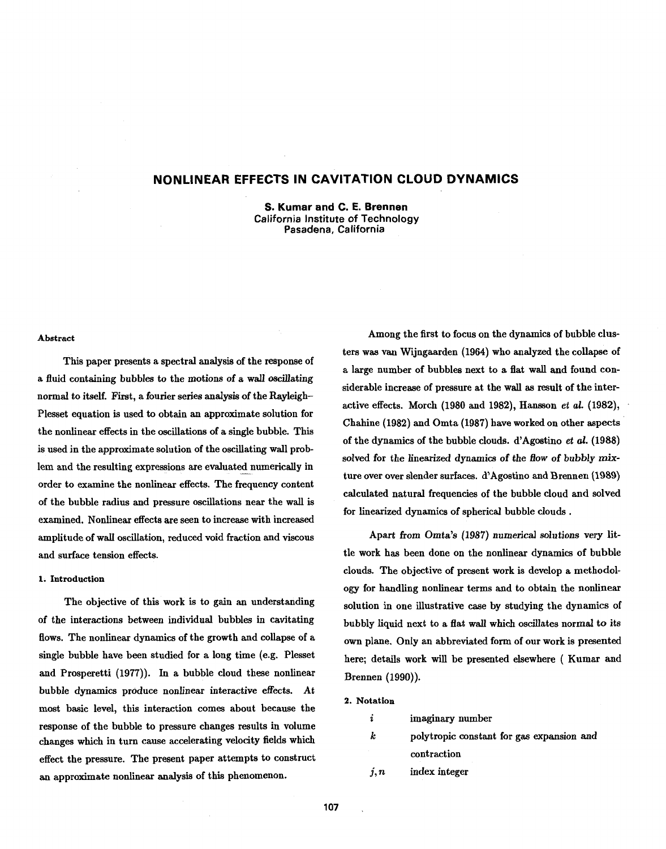## **NONLINEAR EFFECTS IN CAVITATION CLOUD DYNAMICS**

**S. Kumar and C. E. Brennen California Institute of Technology Pasadena, California** 

### **Abstract**

This paper presents a spectral analysis of the response of a fluid containing bubbles to the motions of a wall oscillating normal to itself. First, a fourier series analysis of the Rayleigh-Plesset equation is used to obtain **an** approximate solution for the nonlinear effects in the oscillations of a single bubble. This is used in the approximate solution of the oscillating wall problem and the resulting expressions are evaluated numerically in order to examine the nonlinear effects. The frequency content of the bubble radius and pressure oscillations near the wall is examined. Nonlinear effects are seen to increase with increased amplitude of wall oscillation, reduced void fraction and viscous and surface tension effects.

## **1. Introduction**

The objective of this work is to gain an understanding of the interactions between individual bubbles in cavitating flows. The nonlinear dynamics of the growth and collapse of a single bubble have been studied for a long time (e.g. Plesset and Prosperetti (1977)). In a bubble cloud these nonlinear bubble dynamics produce nonlinear interactive effects. At most basic level, this interaction comes about because the response of the bubble to pressure changes results in volume changes which in turn cause accelerating velocity fields which effect the pressure. The present paper attempts to construct an approximate nonlinear analysis of this phenomenon.

Among the first to focus on the dynamics of bubble clusters was van Wijngaarden (1964) who analyzed the collapse of a large number of bubbles next to a flat wall and found considerable increase of pressure at the wall as result of the interactive effects. Morch (1980 and 1982), Hansson **et** al. (1982), Chahine (1982) and Omta (1987) have worked on other aspects of the dynamics of the bubble clouds. d'Agostino **et al.** (1988) solved for the linearized dynamics of the flow of bubbly **mix**ture over over slender surfaces. d'Agostino and Brennen (1989) calculated natural frequencies of the bubble cloud and solved for linearized dynamics of spherical bubble clouds .

Apart from Omta's (1987) numerical solutions very little work has been done on the nonlinear dynamics of bubble clouds. The objective of present work is develop a methodology for handling nonlinear terms and to obtain the nonlinear solution in one illustrative case by studying the dynamics of bubbly liquid next to a flat wall which oscillates normal to its own plane. Only an abbreviated form of our work is presented here; details work will be presented elsewhere ( Kumar and Brennen (1990)).

## **2. Notation**

| 2 | imaginary number |  |
|---|------------------|--|
|   |                  |  |

- **k** polytropic constant for gas expansion and contraction
- $j, n$  index integer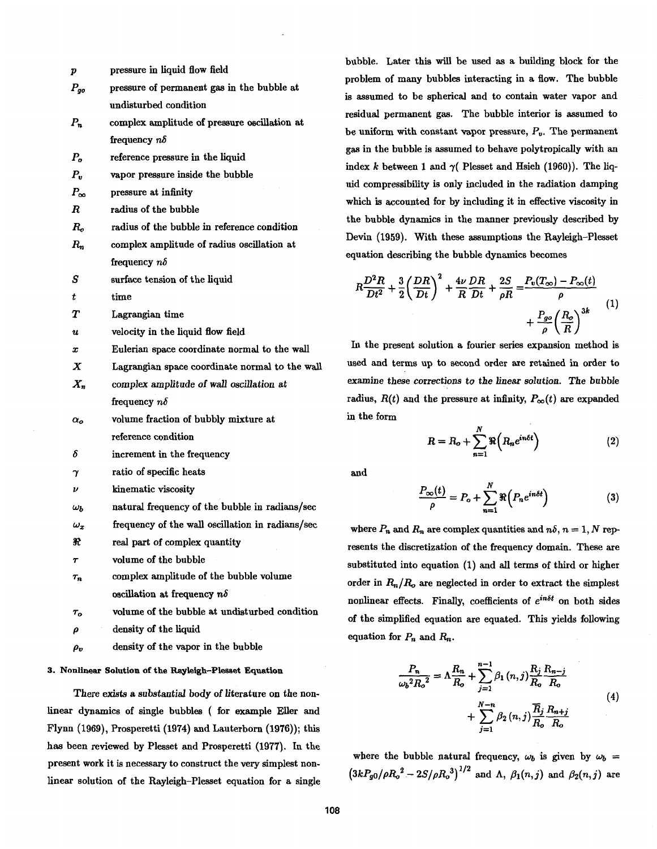| p                     | pressure in liquid flow field                    |
|-----------------------|--------------------------------------------------|
| $P_{go}$              | pressure of permanent gas in the bubble at       |
|                       | undisturbed condition                            |
| $P_n$                 | complex amplitude of pressure oscillation at     |
|                       | frequency $n\delta$                              |
| $P_{o}$               | reference pressure in the liquid                 |
| $P_{\rm u}$           | vapor pressure inside the bubble                 |
| $P_{\infty}$          | pressure at infinity                             |
| R                     | radius of the bubble                             |
| R.,                   | radius of the bubble in reference condition      |
| $R_n$                 | complex amplitude of radius oscillation at       |
|                       | frequency $n\delta$                              |
| S                     | surface tension of the liquid                    |
| t                     | time                                             |
| Т                     | Lagrangian time                                  |
| $\boldsymbol{u}$      | velocity in the liquid flow field                |
| $\mathbf r$           | Eulerian space coordinate normal to the wall     |
| х                     | Lagrangian space coordinate normal to the wall   |
| $X_n$                 | complex amplitude of wall oscillation at         |
|                       | frequency $n\delta$                              |
| $\alpha$ <sub>o</sub> | volume fraction of bubbly mixture at             |
|                       | reference condition                              |
| δ                     | increment in the frequency                       |
| γ                     | ratio of specific heats                          |
| $\boldsymbol{\nu}$    | kinematic viscosity                              |
| $\omega_b$            | natural frequency of the bubble in radians/sec   |
| $\omega_x$            | frequency of the wall oscillation in radians/sec |
| R                     | real part of complex quantity                    |
| $\pmb{\tau}$          | volume of the bubble                             |
| $\tau_n$              | complex amplitude of the bubble volume           |
|                       | oscillation at frequency $n\delta$               |
| $\tau_o$              | volume of the bubble at undisturbed condition    |
| ρ                     | density of the liquid                            |
|                       |                                                  |

density of the vapor in the bubble  $\rho_v$ 

## **3. Nonlinear Solution of the Rayleigh-Plesset Equation**

There exists a substantial body of literature on the nonlinear dynamics of single bubbles ( for example Eller and Flynn (1969), Prosperetti (1974) and Lauterborn (1976)); this has been reviewed by Plesset and Prosperetti (1977). In the present work it is necessary to construct the very simplest nonlinear solution of the Rayleigh-Plesset equation for a single

bubble. Later this will be used as a building block for the problem of many bubbles interacting in a flow. The bubble is assumed to be spherical and to contain water vapor and residual permanent gas. The bubble interior is assumed to be uniform with constant vapor pressure,  $P_v$ . The permanent gas in the bubble is assumed to behave polytropically with an index k between 1 and  $\gamma$  Plesset and Hsieh (1960)). The liquid compressibility is only included in the radiation damping which is accounted for by including it in effective viscosity in the bubble dynamics in the manner previously described by Devin (1959). With these assumptions the Rayleigh-Plesset equation describing the bubble dynamics becomes

$$
R\frac{D^2R}{Dt^2} + \frac{3}{2}\left(\frac{DR}{Dt}\right)^2 + \frac{4\nu}{R}\frac{DR}{Dt} + \frac{2S}{\rho R} = \frac{P_v(T_\infty) - P_\infty(t)}{\rho} + \frac{P_{go}}{\rho}\left(\frac{R_o}{R}\right)^{3k} \tag{1}
$$

In the present solution a fourier series expansion method is used and terms up to second order are retained in order to examine these corrections to the linear solution. The bubble radius,  $R(t)$  and the pressure at infinity,  $P_{\infty}(t)$  are expanded in the form

$$
R = R_o + \sum_{n=1}^{N} \Re\left(R_n e^{in\delta t}\right)
$$
 (2)

and

$$
\frac{P_{\infty}(t)}{\rho} = P_o + \sum_{n=1}^{N} \Re\left(P_n e^{in\delta t}\right)
$$
 (3)

where  $P_n$  and  $R_n$  are complex quantities and  $n\delta$ ,  $n = 1, N$  represents the discretization of the frequency domain. These are substituted into equation (1) and all terms of third or higher order in  $R_n/R_o$  are neglected in order to extract the simplest nonlinear effects. Finally, coefficients of *ein6t* on both sides of the simplified equation are equated. This yields following equation for  $P_n$  and  $R_n$ .

$$
\frac{P_n}{\omega_b^2 R_o^2} = \Lambda \frac{R_n}{R_o} + \sum_{j=1}^{n-1} \beta_1(n,j) \frac{R_j}{R_o} \frac{R_{n-j}}{R_o} + \sum_{j=1}^{N-n} \beta_2(n,j) \frac{\overline{R}_j}{R_o} \frac{R_{n+j}}{R_o}
$$
(4)

where the bubble natural frequency,  $\omega_b$  is given by  $\omega_b$  =  $(3kP_{g0}/\rho R_o^2 - 2S/\rho R_o^3)^{1/2}$  and  $\Lambda$ ,  $\beta_1(n,j)$  and  $\beta_2(n,j)$  are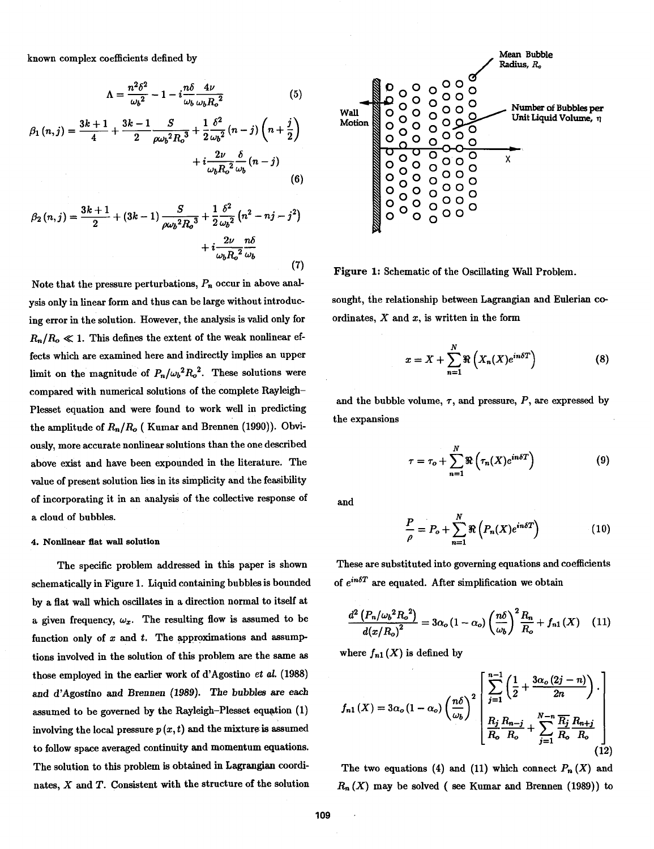$$
\Lambda = \frac{n^2 \delta^2}{\omega_b^2} - 1 - i \frac{n \delta}{\omega_b} \frac{4\nu}{\omega_b R_o^2}
$$
 (5)

$$
\beta_1(n,j) = \frac{3k+1}{4} + \frac{3k-1}{2} \frac{S}{\rho \omega_b^2 R_o^3} + \frac{1}{2} \frac{\delta^2}{\omega_b^2} (n-j) \left( n + \frac{j}{2} \right) + i \frac{2\nu}{\omega_b R_o^2} \frac{\delta}{\omega_b} (n-j) \tag{6}
$$

$$
\beta_2(n,j) = \frac{3k+1}{2} + (3k-1)\frac{S}{\rho\omega_b^2 R_o^3} + \frac{1}{2}\frac{\delta^2}{\omega_b^2} (n^2 - nj - j^2) + i\frac{2\nu}{\omega_b R_o^2} \frac{n\delta}{\omega_b}
$$
\n(7)

Note that the pressure perturbations,  $P_n$  occur in above analysis only in linear form and thus can be large without introducing error in the solution. However, the analysis is valid only for  $R_n/R_o \ll 1$ . This defines the extent of the weak nonlinear effects which are examined here and indirectly implies an upper limit on the magnitude of  $P_n/\omega_b^2 R_o^2$ . These solutions were compared with numerical solutions of the complete Rayleigh-Plesset equation and were found to work well in predicting the amplitude of Rn/Ro ( Kumar and Brennen **(1990)).** Obviously, more accurate nonlinear solutions than the one described above exist and have been expounded in the literature. The value of present solution lies in its simplicity and the feasibility of incorporating it in an analysis of the collective response of a cloud of bubbles.

### **4. Nonlinear flat wall solution**

The specific problem addressed in this paper is shown schematically in Figure 1. Liquid containing bubbles is bounded by a flat wall which oscillates in a direction normal to itself at a given frequency,  $\omega_x$ . The resulting flow is assumed to be function only of  $x$  and  $t$ . The approximations and assumptions involved in the solution of this problem are the same as those employed in the earlier work of d'Agostino et *al.* **(1988)**  and d'Agostino and Brennen (1989). The bubbles are **each**  assumed to be governed by the Rayleigh-Plesset equation (1) involving the local pressure  $p(x, t)$  and the mixture is assumed to follow space averaged continuity and momentum equations. The solution to this problem is obtained in Lagrangian coordi-<br>The two equations  $(4)$  and  $(11)$  which connect  $P_n(X)$  and



**Figure** 1: Schematic of the Oscillating **Wall** Problem.

sought, the relationship between Lagrangian and Eulerian **co**ordinates,  $X$  and  $x$ , is written in the form

$$
x = X + \sum_{n=1}^{N} \Re\left(X_n(X)e^{in\delta T}\right) \tag{8}
$$

and the bubble volume,  $\tau$ , and pressure,  $P$ , are expressed by the expansions

$$
\tau = \tau_o + \sum_{n=1}^{N} \Re\left(\tau_n(X)e^{in\delta T}\right)
$$
 (9)

and

$$
\frac{P}{\rho} = P_o + \sum_{n=1}^{N} \Re\left(P_n(X)e^{in\delta T}\right)
$$
\n(10)

These are substituted into governing equations and coefficients of  $e^{in\delta T}$  are equated. After simplification we obtain

$$
\frac{d^2\left(P_n/\omega_b{}^2R_o{}^2\right)}{d\left(x/R_o\right)^2} = 3\alpha_o\left(1-\alpha_o\right)\left(\frac{n\delta}{\omega_b}\right)^2\frac{R_n}{R_o} + f_{n1}\left(X\right) \quad (11)
$$

where  $f_{n1}(X)$  is defined by

$$
f_{n1}(X) = 3\alpha_o (1 - \alpha_o) \left(\frac{n\delta}{\omega_b}\right)^2 \begin{bmatrix} \sum_{j=1}^{n-1} \left(\frac{1}{2} + \frac{3\alpha_o (2j - n)}{2n}\right) \\ \frac{R_j}{R_o} \frac{R_{n-j}}{R_o} + \sum_{j=1}^{N-n} \frac{\overline{R_j}}{R_o} \frac{R_{n+j}}{R_o} \end{bmatrix}
$$
(12)

nates, X and T. Consistent with the structure of the solution  $R_n(X)$  may be solved (see Kumar and Brennen (1989)) to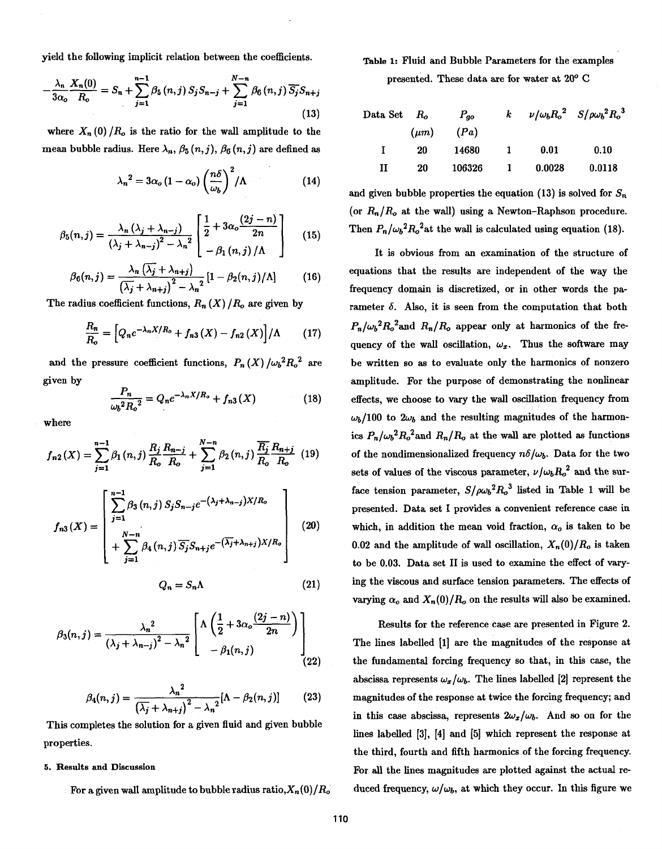yield the following implicit relation between the coefficients.

$$
-\frac{\lambda_{n}}{3\alpha_{o}}\frac{X_{n}(0)}{R_{o}}=S_{n}+\sum_{j=1}^{n-1}\beta_{5}(n,j)S_{j}S_{n-j}+\sum_{j=1}^{N-n}\beta_{6}(n,j)\overline{S_{j}}S_{n+j}
$$
\n(13)

where  $X_n(0)/R_o$  is the ratio for the wall amplitude to the mean bubble radius. Here  $\lambda_n$ ,  $\beta_5(n, j)$ ,  $\beta_6(n, j)$  are defined as

$$
\lambda_n^2 = 3\alpha_o \left(1 - \alpha_o\right) \left(\frac{n\delta}{\omega_b}\right)^2 / \Lambda \tag{14}
$$

$$
\beta_5(n,j) = \frac{\lambda_n \left(\lambda_j + \lambda_{n-j}\right)}{\left(\lambda_j + \lambda_{n-j}\right)^2 - \lambda_n^2} \left[\frac{1}{2} + 3\alpha_o \frac{(2j-n)}{2n} - \beta_1(n,j)/\Lambda\right] \tag{15}
$$

$$
\beta_6(n,j) = \frac{\lambda_n \left( \overline{\lambda_j} + \lambda_{n+j} \right)}{\left( \overline{\lambda_j} + \lambda_{n+j} \right)^2 - \lambda_n^2} \left[ 1 - \beta_2(n,j) / \Lambda \right] \tag{16}
$$

The radius coefficient functions,  $R_n(X)/R_o$  are given by

$$
\frac{R_n}{R_o} = \left[Q_n e^{-\lambda_n X/R_o} + f_{n3}(X) - f_{n2}(X)\right] / \Lambda \qquad (17)
$$

and the pressure coefficient functions,  $P_n(X) / \omega_b^2 R_o^2$  are given by

$$
\frac{P_n}{\omega_b^2 R_o^2} = Q_n e^{-\lambda_n X/R_o} + f_{n3}(X)
$$
 (18) effect

where

$$
f_{n2}(X) = \sum_{j=1}^{n-1} \beta_1(n,j) \frac{R_j R_{n-j}}{R_o R_o} + \sum_{j=1}^{N-n} \beta_2(n,j) \frac{\overline{R_j} R_{n+j}}{R_o R_o} \tag{19}
$$

$$
f_{n3}(X) = \begin{bmatrix} \sum_{j=1}^{n-1} \beta_3(n,j) S_j S_{n-j} e^{-(\lambda_j + \lambda_{n-j})X/R_o} \\ + \sum_{j=1}^{N-n} \beta_4(n,j) \overline{S_j} S_{n+j} e^{-(\overline{\lambda_j} + \lambda_{n+j})X/R_o} \end{bmatrix}
$$
(20)

$$
Q_n = S_n \Lambda \tag{21}
$$

$$
\beta_3(n,j) = \frac{\lambda_n^2}{\left(\lambda_j + \lambda_{n-j}\right)^2 - \lambda_n^2} \left[ \Lambda \left( \frac{1}{2} + 3\alpha_o \frac{(2j-n)}{2n} \right) - \beta_1(n,j) \right]
$$
(22)

$$
\beta_4(n,j) = \frac{\lambda_n^2}{\left(\overline{\lambda_j} + \lambda_{n+j}\right)^2 - \lambda_n^2} [\Lambda - \beta_2(n,j)] \tag{23}
$$

This completes the solution for a given fluid and given bubble properties.

## **5. Results and Discussion**

For a given wall amplitude to bubble radius ratio,  $X_n(0)/R_o$ 

# **Table I:** Fluid and Bubble Parameters for the examples presented. These data are for water at 20' *C*

| Data Set    | $R_o$    | $P_{go}$ | $k$ | $\nu/\omega_b R_o^2$ | $S/\rho\omega_b^2 R_o^3$ |
|-------------|----------|----------|-----|----------------------|--------------------------|
| ( $\mu m$ ) | ( $Pa$ ) |          |     |                      |                          |
| I           | 20       | 14680    | 1   | 0.01                 | 0.10                     |
| II          | 20       | 106326   | 1   | 0.0028               | 0.0118                   |

and given bubble properties the equation (13) is solved for  $S_n$ (or  $R_n/R_o$  at the wall) using a Newton-Raphson procedure. Then  $P_n/\omega_b^2 R_o^2$  at the wall is calculated using equation (18).

It is obvious from an examination of the structure of equations that the results are independent of the way the frequency domain is discretized, or in other words the parameter  $\delta$ . Also, it is seen from the computation that both  $P_n/\omega_b^2 R_o^2$  and  $R_n/R_o$  appear only at harmonics of the frequency of the wall oscillation,  $\omega_x$ . Thus the software may be written so as to evaluate only the harmonics of nonzero amplitude. For the purpose of demonstrating the nonlinear effects, we choose to vary the wall oscillation frequency from  $\omega_b/100$  to  $2\omega_b$  and the resulting magnitudes of the harmonics  $P_n/\omega_b^2 R_o^2$  and  $R_n/R_o$  at the wall are plotted as functions of the nondimensionalized frequency  $n\delta/\omega_b$ . Data for the two sets of values of the viscous parameter,  $\nu/\omega_b R_o^2$  and the surface tension parameter,  $S/\omega_b^2 R_o^3$  listed in Table 1 will be presented. Data set I provides a convenient reference case in which, in addition the mean void fraction,  $\alpha_o$  is taken to be 0.02 and the amplitude of wall oscillation,  $X_n(0)/R_o$  is taken to be 0.03. Data set I1 is used to examine the effect of varying the viscous and surface tension parameters. The effects of varying  $\alpha_o$  and  $X_n(0)/R_o$  on the results will also be examined.

Results for the reference case are presented in Figure 2. The lines labelled [I] are the magnitudes of the response at the fundamental forcing frequency so that, in this case, the abscissa represents  $\omega_x/\omega_b$ . The lines labelled [2] represent the magnitudes of the response at twice the forcing frequency; and in this case abscissa, represents  $2\omega_x/\omega_b$ . And so on for the lines labelled [3], [4] and [5] which represent the response at the third, fourth and fifth harmonics of the forcing frequency. For all the lines magnitudes are plotted against the actual reduced frequency,  $\omega/\omega_b$ , at which they occur. In this figure we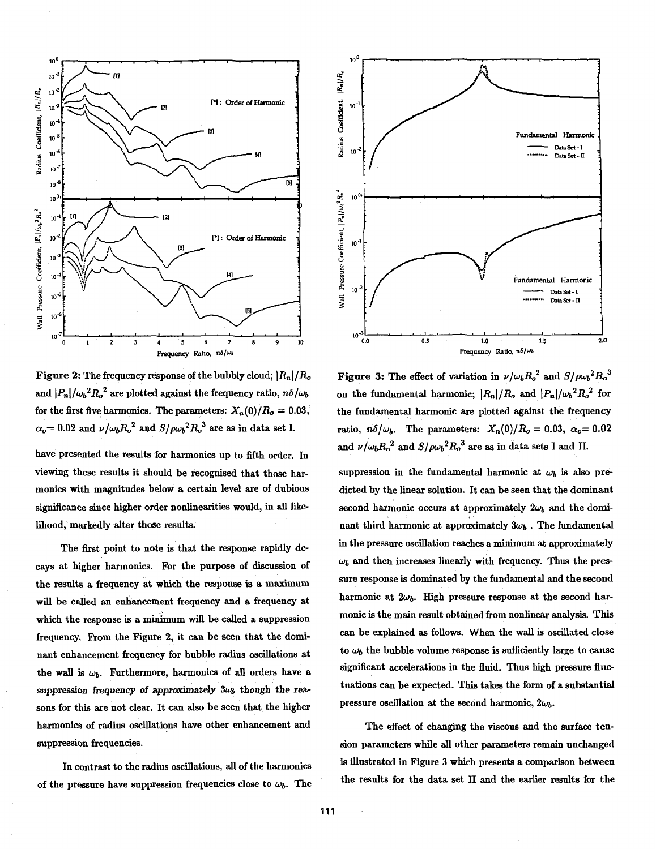

**Figure 2:** The frequency response of the bubbly cloud;  $|R_n|/R_o$ and  $|P_n|/\omega_b^2 R_o^2$  are plotted against the frequency ratio,  $n\delta/\omega_b$ for the first five harmonics. The parameters:  $X_n(0)/R_o = 0.03$ ,  $\alpha_o = 0.02$  and  $\nu/\omega_b R_o^2$  and  $S/\rho \omega_b^2 R_o^3$  are as in data set I.

have presented the results for harmonics up to fifth order. In viewing these results it should be recognised that those harmonics with magnitudes below a certain level are of dubious significance since higher order nonlinearities would, in **all** likelihood, markedly alter those results.

The first point to note is that the response rapidly decays at higher harmonics. For the purpose of discussion of the results a frequency at which the response is a maximum will be called an enhancement frequency and a frequency at which the response is a minimum will be called a suppression frequency. From the Figure *2,* it can be seen that the dominant enhancement frequency for bubble radius oscillations at the wall is  $\omega_b$ . Furthermore, harmonics of all orders have a suppression frequency of approximately  $3\omega_b$  though the reasons for this are not clear. It can also be seen that the higher harmonics of radius oscillations have other enhancement and suppression frequencies.

In contrast to the radius oscillations, **all** of the harmonics of the pressure have suppression frequencies close to  $\omega_b$ . The



**Figure 3:** The effect of variation in  $\nu/\omega_b R_o^2$  and  $S/\rho \omega_b^2 R_o^3$ on the fundamental harmonic;  $|R_n|/R_o$  and  $|P_n|/\omega_b^2 R_o^2$  for the fundamental harmonic are plotted against the frequency ratio,  $n\delta/\omega_b$ . The parameters:  $X_n(0)/R_o = 0.03$ ,  $\alpha_o = 0.02$ and  $\nu/\omega_b R_o^2$  and  $S/\rho \omega_b^2 R_o^3$  are as in data sets I and II.

suppression in the fundamental harmonic at  $\omega_b$  is also predicted by the linear solution. It can be seen that the dominant second harmonic occurs at approximately  $2\omega_b$  and the dominant third harmonic at approximately  $3\omega_b$ . The fundamental in the pressure oscillation reaches a minimum at approximately  $\omega_b$  and then increases linearly with frequency. Thus the pressure response is dominated by the fundamental and the second harmonic at  $2\omega_b$ . High pressure response at the second harmonic is the main result obtained from nonlinear analysis. This can be explained as follows. When the wall is oscillated close to  $\omega_b$  the bubble volume response is sufficiently large to cause significant accelerations in the fluid. Thus high pressure fluctuations can be expected. This takes the form of a substantial pressure oscillation at the second harmonic,  $2\omega_b$ .

The effect of changing the viscous and the surface tension parameters whiie all other parameters remain unchanged is illustrated in Figure *3* which presents a comparison between the results for the data set I1 and the earlier results for the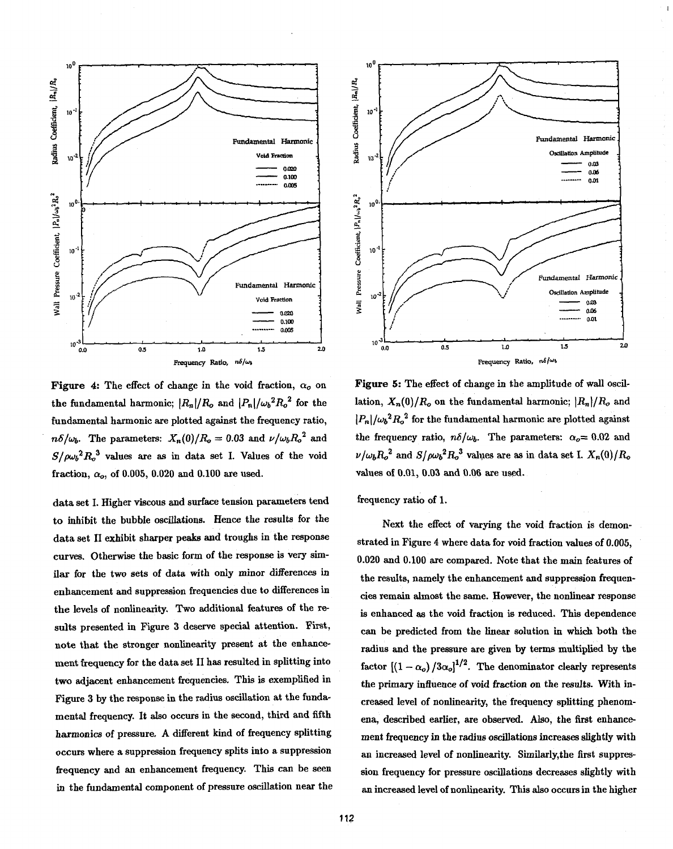

Figure 4: The effect of change in the void fraction,  $\alpha_o$  on the fundamental harmonic;  $|R_n|/R_o$  and  $|P_n|/\omega_b^2 R_o^2$  for the fundamental harmonic are plotted against the frequency ratio,  $n\delta/\omega_b$ . The parameters:  $X_n(0)/R_o = 0.03$  and  $\nu/\omega_b R_o^2$  and  $S/\rho\omega_b^2R_o^3$  values are as in data set I. Values of the void fraction,  $\alpha_o$ , of 0.005, 0.020 and 0.100 are used.

data set I. Higher viscous and surface tension parameters tend to inhibit the bubble oscillations. Hence the results for the data set **I1** exhibit sharper peaks and troughs in the response curves. Otherwise the basic form of the response is very similar for the two sets of data with only minor differences in enhancement and suppression frequencies due to differences in the levels of nonlinearity. Two additional features of the results presented in Figure *3* deserve special attention. First, note that the stronger nonlinearity present at the enhancement frequency for the data set **I1** has resulted in splitting into two adjacent enhancement frequencies. This is exemplified in Figure 3 by the response in the radius oscillation at the fundamental frequency. It also occurs in the second, third and fifth harmonics of pressure, A different kind of frequency splitting occurs where a suppression frequency splits into a suppression frequency and an enhancement frequency. This can be seen in the fundamental component of pressure oscillation near the



Figure 5: The effect of change in the amplitude of wall oscillation,  $X_n(0)/R_o$  on the fundamental harmonic;  $|R_n|/R_o$  and  $|P_n|/\omega_b^2 R_o^2$  for the fundamental harmonic are plotted against the frequency ratio,  $n\delta/\omega_b$ . The parameters:  $\alpha_o = 0.02$  and  $\nu/\omega_b R_o^2$  and  $S/\rho \omega_b^2 R_o^3$  values are as in data set I.  $X_n(0)/R_o$ values of 0.01, 0.03 **and** 0.06 are used.

frequency ratio of 1.

Next the effect of varying the void fraction is demonstrated in Figure 4 where data for void fraction values of 0.005, 0.020 and 0.100 are compared. Note that the main features of the results, namely the enhancement and suppression frequencies remain almost the same. However, the nonlinear response is enhanced as the void fraction is reduced. This dependence can be predicted from the linear solution in which both the radius and the pressure are given by terms multiplied by the factor  $[(1 - \alpha_o)/3\alpha_o]^{1/2}$ . The denominator clearly represents the primary influence of void fraction on the results. With increased level of nonlinearity, the frequency splitting phenomena, described earlier, are observed. Also, the first enhancement frequency in the radius oscillations increases slightly with **an** increased level of nonlinearity. Similarly,the first suppression frequency for pressure oscillations decreases slightly with **an** increased level of nonlinearity. This also occurs in the higher